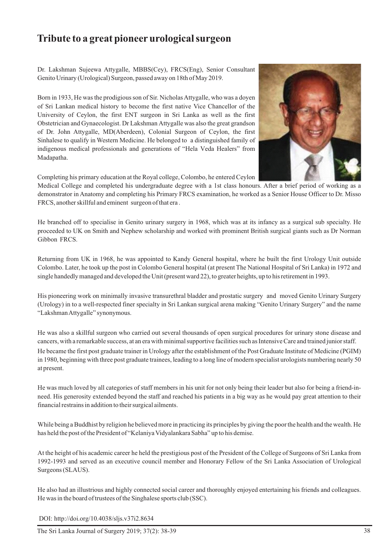## **Tribute to a great pioneer urological surgeon**

Dr. Lakshman Sujeewa Attygalle, MBBS(Cey), FRCS(Eng), Senior Consultant Genito Urinary (Urological) Surgeon, passed away on 18th of May 2019.

Born in 1933, He was the prodigious son of Sir. Nicholas Attygalle, who was a doyen of Sri Lankan medical history to become the first native Vice Chancellor of the University of Ceylon, the first ENT surgeon in Sri Lanka as well as the first Obstetrician and Gynaecologist. Dr Lakshman Attygalle was also the great grandson of Dr. John Attygalle, MD(Aberdeen), Colonial Surgeon of Ceylon, the first Sinhalese to qualify in Western Medicine. He belonged to a distinguished family of indigenous medical professionals and generations of "Hela Veda Healers" from Madapatha.



Completing his primary education at the Royal college, Colombo, he entered Ceylon

Medical College and completed his undergraduate degree with a 1st class honours. After a brief period of working as a demonstrator in Anatomy and completing his Primary FRCS examination, he worked as a Senior House Officer to Dr. Misso FRCS, another skillful and eminent surgeon of that era .

He branched off to specialise in Genito urinary surgery in 1968, which was at its infancy as a surgical sub specialty. He proceeded to UK on Smith and Nephew scholarship and worked with prominent British surgical giants such as Dr Norman Gibbon FRCS.

Returning from UK in 1968, he was appointed to Kandy General hospital, where he built the first Urology Unit outside Colombo. Later, he took up the post in Colombo General hospital (at present The National Hospital of Sri Lanka) in 1972 and single handedly managed and developed the Unit (present ward 22), to greater heights, up to his retirement in 1993.

His pioneering work on minimally invasive transurethral bladder and prostatic surgery and moved Genito Urinary Surgery (Urology) in to a well-respected finer specialty in Sri Lankan surgical arena making "Genito Urinary Surgery" and the name "Lakshman Attygalle" synonymous.

He was also a skillful surgeon who carried out several thousands of open surgical procedures for urinary stone disease and cancers, with a remarkable success, at an era with minimal supportive facilities such as Intensive Care and trained junior staff. He became the first post graduate trainer in Urology after the establishment of the Post Graduate Institute of Medicine (PGIM) in 1980, beginning with three post graduate trainees, leading to a long line of modern specialist urologists numbering nearly 50 at present.

He was much loved by all categories of staff members in his unit for not only being their leader but also for being a friend-inneed. His generosity extended beyond the staff and reached his patients in a big way as he would pay great attention to their financial restrains in addition to their surgical ailments.

While being a Buddhist by religion he believed more in practicing its principles by giving the poor the health and the wealth. He has held the post of the President of "Kelaniya Vidyalankara Sabha" up to his demise.

At the height of his academic career he held the prestigious post of the President of the College of Surgeons of Sri Lanka from 1992-1993 and served as an executive council member and Honorary Fellow of the Sri Lanka Association of Urological Surgeons (SLAUS).

He also had an illustrious and highly connected social career and thoroughly enjoyed entertaining his friends and colleagues. He was in the board of trustees of the Singhalese sports club (SSC).

DOI: http://doi.org/10.4038/sljs.v37i2.8634